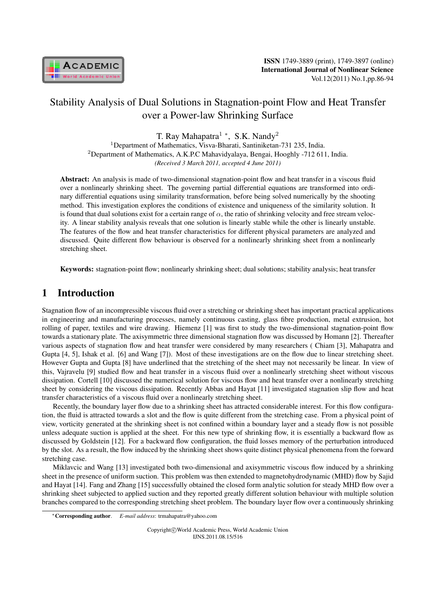

# Stability Analysis of Dual Solutions in Stagnation-point Flow and Heat Transfer over a Power-law Shrinking Surface

T. Ray Mahapatra<sup>1</sup> *<sup>∗</sup>* , S.K. Nandy<sup>2</sup>

<sup>1</sup>Department of Mathematics, Visva-Bharati, Santiniketan-731 235, India. <sup>2</sup>Department of Mathematics, A.K.P.C Mahavidyalaya, Bengai, Hooghly -712 611, India. *(Received 3 March 2011, accepted 4 June 2011)*

Abstract: An analysis is made of two-dimensional stagnation-point flow and heat transfer in a viscous fluid over a nonlinearly shrinking sheet. The governing partial differential equations are transformed into ordinary differential equations using similarity transformation, before being solved numerically by the shooting method. This investigation explores the conditions of existence and uniqueness of the similarity solution. It is found that dual solutions exist for a certain range of  $\alpha$ , the ratio of shrinking velocity and free stream velocity. A linear stability analysis reveals that one solution is linearly stable while the other is linearly unstable. The features of the flow and heat transfer characteristics for different physical parameters are analyzed and discussed. Quite different flow behaviour is observed for a nonlinearly shrinking sheet from a nonlinearly stretching sheet.

Keywords: stagnation-point flow; nonlinearly shrinking sheet; dual solutions; stability analysis; heat transfer

## 1 Introduction

Stagnation flow of an incompressible viscous fluid over a stretching or shrinking sheet has important practical applications in engineering and manufacturing processes, namely continuous casting, glass fibre production, metal extrusion, hot rolling of paper, textiles and wire drawing. Hiemenz [1] was first to study the two-dimensional stagnation-point flow towards a stationary plate. The axisymmetric three dimensional stagnation flow was discussed by Homann [2]. Thereafter various aspects of stagnation flow and heat transfer were considered by many researchers ( Chiam [3], Mahapatra and Gupta [4, 5], Ishak et al. [6] and Wang [7]). Most of these investigations are on the flow due to linear stretching sheet. However Gupta and Gupta [8] have underlined that the stretching of the sheet may not necessarily be linear. In view of this, Vajravelu [9] studied flow and heat transfer in a viscous fluid over a nonlinearly stretching sheet without viscous dissipation. Cortell [10] discussed the numerical solution for viscous flow and heat transfer over a nonlinearly stretching sheet by considering the viscous dissipation. Recently Abbas and Hayat [11] investigated stagnation slip flow and heat transfer characteristics of a viscous fluid over a nonlinearly stretching sheet.

Recently, the boundary layer flow due to a shrinking sheet has attracted considerable interest. For this flow configuration, the fluid is attracted towards a slot and the flow is quite different from the stretching case. From a physical point of view, vorticity generated at the shrinking sheet is not confined within a boundary layer and a steady flow is not possible unless adequate suction is applied at the sheet. For this new type of shrinking flow, it is essentially a backward flow as discussed by Goldstein [12]. For a backward flow configuration, the fluid losses memory of the perturbation introduced by the slot. As a result, the flow induced by the shrinking sheet shows quite distinct physical phenomena from the forward stretching case.

Miklavcic and Wang [13] investigated both two-dimensional and axisymmetric viscous flow induced by a shrinking sheet in the presence of uniform suction. This problem was then extended to magnetohydrodynamic (MHD) flow by Sajid and Hayat [14]. Fang and Zhang [15] successfully obtained the closed form analytic solution for steady MHD flow over a shrinking sheet subjected to applied suction and they reported greatly different solution behaviour with multiple solution branches compared to the corresponding stretching sheet problem. The boundary layer flow over a continuously shrinking

Copyright*⃝*c World Academic Press, World Academic Union IJNS.2011.08.15/516

*<sup>∗</sup>*Corresponding author. *E-mail address*: trmahapatra@yahoo.com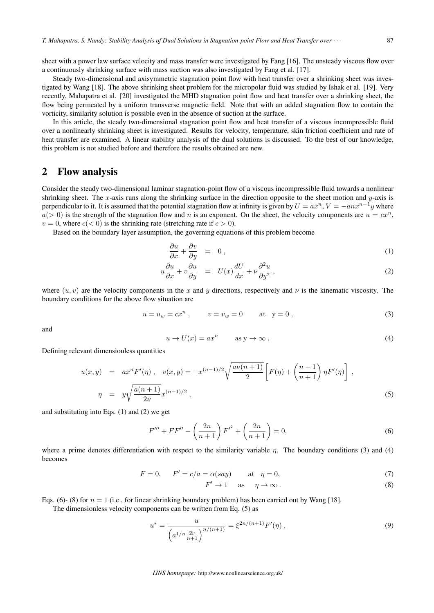sheet with a power law surface velocity and mass transfer were investigated by Fang [16]. The unsteady viscous flow over a continuously shrinking surface with mass suction was also investigated by Fang et al. [17].

Steady two-dimensional and axisymmetric stagnation point flow with heat transfer over a shrinking sheet was investigated by Wang [18]. The above shrinking sheet problem for the micropolar fluid was studied by Ishak et al. [19]. Very recently, Mahapatra et al. [20] investigated the MHD stagnation point flow and heat transfer over a shrinking sheet, the flow being permeated by a uniform transverse magnetic field. Note that with an added stagnation flow to contain the vorticity, similarity solution is possible even in the absence of suction at the surface.

In this article, the steady two-dimensional stagnation point flow and heat transfer of a viscous incompressible fluid over a nonlinearly shrinking sheet is investigated. Results for velocity, temperature, skin friction coefficient and rate of heat transfer are examined. A linear stability analysis of the dual solutions is discussed. To the best of our knowledge, this problem is not studied before and therefore the results obtained are new.

#### 2 Flow analysis

Consider the steady two-dimensional laminar stagnation-point flow of a viscous incompressible fluid towards a nonlinear shrinking sheet. The x-axis runs along the shrinking surface in the direction opposite to the sheet motion and  $y$ -axis is perpendicular to it. It is assumed that the potential stagnation flow at infinity is given by  $U = ax^n$ ,  $V = -an x^{n-1}y$  where  $a(> 0)$  is the strength of the stagnation flow and n is an exponent. On the sheet, the velocity components are  $u = cx^n$ ,  $v = 0$ , where  $c \leq 0$  is the shrinking rate (stretching rate if  $c > 0$ ).

Based on the boundary layer assumption, the governing equations of this problem become

$$
\frac{\partial u}{\partial x} + \frac{\partial v}{\partial y} = 0, \tag{1}
$$

$$
u\frac{\partial u}{\partial x} + v\frac{\partial u}{\partial y} = U(x)\frac{dU}{dx} + \nu\frac{\partial^2 u}{\partial y^2},
$$
\n(2)

where  $(u, v)$  are the velocity components in the x and y directions, respectively and  $\nu$  is the kinematic viscosity. The boundary conditions for the above flow situation are

$$
u = u_w = cx^n
$$
,  $v = v_w = 0$  at  $y = 0$ , (3)

and

$$
u \to U(x) = ax^n \qquad \text{as } y \to \infty \,. \tag{4}
$$

Defining relevant dimensionless quantities

$$
u(x,y) = ax^n F'(\eta), \quad v(x,y) = -x^{(n-1)/2} \sqrt{\frac{a\nu(n+1)}{2}} \left[ F(\eta) + \left( \frac{n-1}{n+1} \right) \eta F'(\eta) \right],
$$
  

$$
\eta = y \sqrt{\frac{a(n+1)}{2\nu}} x^{(n-1)/2},
$$
 (5)

and substituting into Eqs. (1) and (2) we get

$$
F''' + FF'' - \left(\frac{2n}{n+1}\right)F'^2 + \left(\frac{2n}{n+1}\right) = 0,\tag{6}
$$

where a prime denotes differentiation with respect to the similarity variable  $\eta$ . The boundary conditions (3) and (4) becomes

$$
F = 0, \qquad F' = c/a = \alpha(say) \qquad \text{at} \quad \eta = 0,\tag{7}
$$

$$
F' \to 1 \quad \text{as} \quad \eta \to \infty \,. \tag{8}
$$

Eqs. (6)- (8) for  $n = 1$  (i.e., for linear shrinking boundary problem) has been carried out by Wang [18].

The dimensionless velocity components can be written from Eq. (5) as

$$
u^* = \frac{u}{\left(a^{1/n}\frac{2\nu}{n+1}\right)^{n/(n+1)}} = \xi^{2n/(n+1)}F'(\eta) ,\qquad (9)
$$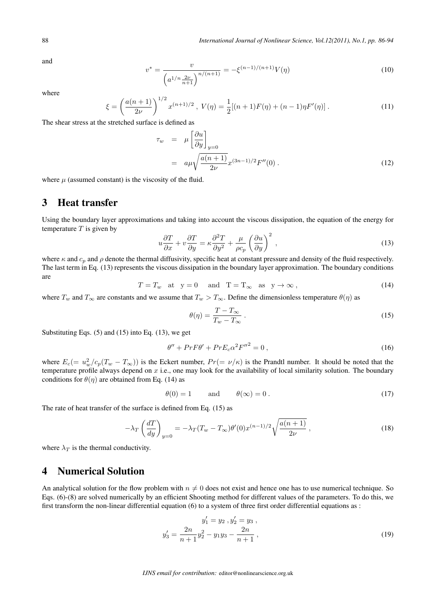and

$$
v^* = \frac{v}{\left(a^{1/n}\frac{2\nu}{n+1}\right)^{n/(n+1)}} = -\xi^{(n-1)/(n+1)}V(\eta)
$$
\n(10)

where

$$
\xi = \left(\frac{a(n+1)}{2\nu}\right)^{1/2} x^{(n+1)/2}, \ V(\eta) = \frac{1}{2} [(n+1)F(\eta) + (n-1)\eta F'(\eta)]. \tag{11}
$$

The shear stress at the stretched surface is defined as

$$
\tau_w = \mu \left[ \frac{\partial u}{\partial y} \right]_{y=0}
$$
  
=  $a\mu \sqrt{\frac{a(n+1)}{2\nu}} x^{(3n-1)/2} F''(0)$ . (12)

where  $\mu$  (assumed constant) is the viscosity of the fluid.

## 3 Heat transfer

Using the boundary layer approximations and taking into account the viscous dissipation, the equation of the energy for temperature  $T$  is given by

$$
u\frac{\partial T}{\partial x} + v\frac{\partial T}{\partial y} = \kappa \frac{\partial^2 T}{\partial y^2} + \frac{\mu}{\rho c_p} \left(\frac{\partial u}{\partial y}\right)^2,
$$
\n(13)

where  $\kappa$  and  $c_p$  and  $\rho$  denote the thermal diffusivity, specific heat at constant pressure and density of the fluid respectively. The last term in Eq. (13) represents the viscous dissipation in the boundary layer approximation. The boundary conditions are

$$
T = T_w \quad \text{at} \quad y = 0 \quad \text{and} \quad T = T_{\infty} \quad \text{as} \quad y \to \infty \,, \tag{14}
$$

where  $T_w$  and  $T_\infty$  are constants and we assume that  $T_w > T_\infty$ . Define the dimensionless temperature  $\theta(\eta)$  as

$$
\theta(\eta) = \frac{T - T_{\infty}}{T_w - T_{\infty}} \,. \tag{15}
$$

Substituting Eqs. (5) and (15) into Eq. (13), we get

$$
\theta'' + PrF\theta' + PrE_c\alpha^2 F''^2 = 0,
$$
\n(16)

where  $E_c (= u_w^2/c_p (T_w - T_\infty))$  is the Eckert number,  $Pr(= \nu/\kappa)$  is the Prandtl number. It should be noted that the temperature profile always depend on  $x$  i.e., one may look for the availability of local similarity solution. The boundary conditions for  $\theta(\eta)$  are obtained from Eq. (14) as

$$
\theta(0) = 1 \qquad \text{and} \qquad \theta(\infty) = 0 \,. \tag{17}
$$

The rate of heat transfer of the surface is defined from Eq. (15) as

$$
-\lambda_T \left(\frac{dT}{dy}\right)_{y=0} = -\lambda_T (T_w - T_\infty) \theta'(0) x^{(n-1)/2} \sqrt{\frac{a(n+1)}{2\nu}}\,,\tag{18}
$$

where  $\lambda_T$  is the thermal conductivity.

#### 4 Numerical Solution

An analytical solution for the flow problem with  $n \neq 0$  does not exist and hence one has to use numerical technique. So Eqs. (6)-(8) are solved numerically by an efficient Shooting method for different values of the parameters. To do this, we first transform the non-linear differential equation (6) to a system of three first order differential equations as :

$$
y'_1 = y_2, y'_2 = y_3,
$$
  

$$
y'_3 = \frac{2n}{n+1}y_2^2 - y_1y_3 - \frac{2n}{n+1},
$$
 (19)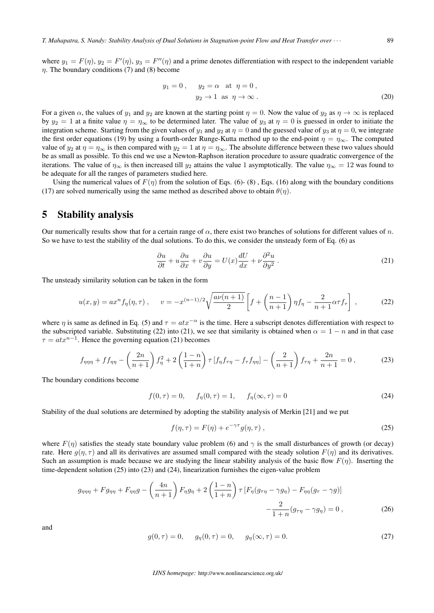where  $y_1 = F(\eta)$ ,  $y_2 = F'(\eta)$ ,  $y_3 = F''(\eta)$  and a prime denotes differentiation with respect to the independent variable  $\eta$ . The boundary conditions (7) and (8) become

$$
y_1 = 0, \t y_2 = \alpha \t at \t \eta = 0,
$$
  

$$
y_2 \to 1 \t as \t \eta \to \infty.
$$
 (20)

For a given  $\alpha$ , the values of  $y_1$  and  $y_2$  are known at the starting point  $\eta = 0$ . Now the value of  $y_2$  as  $\eta \to \infty$  is replaced by  $y_2 = 1$  at a finite value  $\eta = \eta_{\infty}$  to be determined later. The value of  $y_3$  at  $\eta = 0$  is guessed in order to initiate the integration scheme. Starting from the given values of  $y_1$  and  $y_2$  at  $\eta = 0$  and the guessed value of  $y_3$  at  $\eta = 0$ , we integrate the first order equations (19) by using a fourth-order Runge-Kutta method up to the end-point  $\eta = \eta_{\infty}$ . The computed value of  $y_2$  at  $\eta = \eta_{\infty}$  is then compared with  $y_2 = 1$  at  $\eta = \eta_{\infty}$ . The absolute difference between these two values should be as small as possible. To this end we use a Newton-Raphson iteration procedure to assure quadratic convergence of the iterations. The value of  $\eta_{\infty}$  is then increased till  $y_2$  attains the value 1 asymptotically. The value  $\eta_{\infty} = 12$  was found to be adequate for all the ranges of parameters studied here.

Using the numerical values of  $F(\eta)$  from the solution of Eqs. (6)- (8), Eqs. (16) along with the boundary conditions (17) are solved numerically using the same method as described above to obtain  $\theta(\eta)$ .

#### 5 Stability analysis

Our numerically results show that for a certain range of  $\alpha$ , there exist two branches of solutions for different values of n. So we have to test the stability of the dual solutions. To do this, we consider the unsteady form of Eq. (6) as

$$
\frac{\partial u}{\partial t} + u \frac{\partial u}{\partial x} + v \frac{\partial u}{\partial y} = U(x) \frac{dU}{dx} + \nu \frac{\partial^2 u}{\partial y^2}.
$$
 (21)

The unsteady similarity solution can be taken in the form

$$
u(x,y) = ax^n f_{\eta}(\eta,\tau) , \qquad v = -x^{(n-1)/2} \sqrt{\frac{a\nu(n+1)}{2}} \left[ f + \left(\frac{n-1}{n+1}\right) \eta f_{\eta} - \frac{2}{n+1} \alpha \tau f_{\tau} \right] , \tag{22}
$$

where  $\eta$  is same as defined in Eq. (5) and  $\tau = atx^{-\alpha}$  is the time. Here a subscript denotes differentiation with respect to the subscripted variable. Substituting (22) into (21), we see that similarity is obtained when  $\alpha = 1 - n$  and in that case  $\tau = a t x^{n-1}$ . Hence the governing equation (21) becomes

$$
f_{\eta\eta\eta} + f f_{\eta\eta} - \left(\frac{2n}{n+1}\right) f_{\eta}^2 + 2 \left(\frac{1-n}{1+n}\right) \tau \left[f_{\eta} f_{\tau\eta} - f_{\tau} f_{\eta\eta}\right] - \left(\frac{2}{n+1}\right) f_{\tau\eta} + \frac{2n}{n+1} = 0,
$$
 (23)

The boundary conditions become

$$
f(0, \tau) = 0, \quad f_{\eta}(0, \tau) = 1, \quad f_{\eta}(\infty, \tau) = 0 \tag{24}
$$

Stability of the dual solutions are determined by adopting the stability analysis of Merkin [21] and we put

$$
f(\eta, \tau) = F(\eta) + e^{-\gamma \tau} g(\eta, \tau) , \qquad (25)
$$

where  $F(\eta)$  satisfies the steady state boundary value problem (6) and  $\gamma$  is the small disturbances of growth (or decay) rate. Here  $g(\eta, \tau)$  and all its derivatives are assumed small compared with the steady solution  $F(\eta)$  and its derivatives. Such an assumption is made because we are studying the linear stability analysis of the basic flow  $F(\eta)$ . Inserting the time-dependent solution (25) into (23) and (24), linearization furnishes the eigen-value problem

$$
g_{\eta\eta\eta} + F g_{\eta\eta} + F_{\eta\eta}g - \left(\frac{4n}{n+1}\right)F_{\eta}g_{\eta} + 2\left(\frac{1-n}{1+n}\right)\tau\left[F_{\eta}(g_{\tau\eta} - \gamma g_{\eta}) - F_{\eta\eta}(g_{\tau} - \gamma g)\right] - \frac{2}{1+n}(g_{\tau\eta} - \gamma g_{\eta}) = 0,
$$
\n(26)

and

$$
g(0, \tau) = 0, \quad g_{\eta}(0, \tau) = 0, \quad g_{\eta}(\infty, \tau) = 0.
$$
 (27)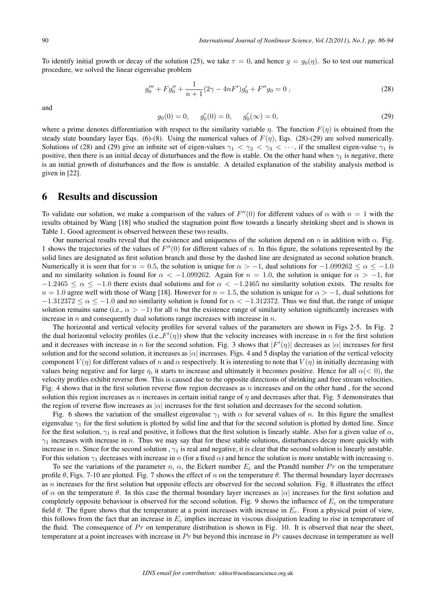To identify initial growth or decay of the solution (25), we take  $\tau = 0$ , and hence  $q = q_0(\eta)$ . So to test our numerical procedure, we solved the linear eigenvalue problem

$$
g_0''' + Fg_0'' + \frac{1}{n+1}(2\gamma - 4nF')g_0' + F''g_0 = 0,
$$
\n(28)

and

$$
g_0(0) = 0, \quad g'_0(0) = 0, \quad g'_0(\infty) = 0,
$$
 (29)

where a prime denotes differentiation with respect to the similarity variable  $\eta$ . The function  $F(\eta)$  is obtained from the steady state boundary layer Eqs. (6)-(8). Using the numerical values of  $F(\eta)$ , Eqs. (28)-(29) are solved numerically. Solutions of (28) and (29) give an infinite set of eigen-values  $\gamma_1 < \gamma_2 < \gamma_3 < \cdots$ , if the smallest eigen-value  $\gamma_1$  is positive, then there is an initial decay of disturbances and the flow is stable. On the other hand when  $\gamma_1$  is negative, there is an initial growth of disturbances and the flow is unstable. A detailed explanation of the stability analysis method is given in [22].

#### 6 Results and discussion

To validate our solution, we make a comparison of the values of  $F''(0)$  for different values of  $\alpha$  with  $n = 1$  with the results obtained by Wang [18] who studied the stagnation point flow towards a linearly shrinking sheet and is shown in Table 1. Good agreement is observed between these two results.

Our numerical results reveal that the existence and uniqueness of the solution depend on  $n$  in addition with  $\alpha$ . Fig. 1 shows the trajectories of the values of  $F''(0)$  for different values of n. In this figure, the solutions represented by the solid lines are designated as first solution branch and those by the dashed line are designated as second solution branch. Numerically it is seen that for  $n = 0.5$ , the solution is unique for  $\alpha > -1$ , dual solutions for  $-1.099262 \le \alpha \le -1.0$ and no similarity solution is found for  $\alpha < -1.099262$ . Again for  $n = 1.0$ , the solution is unique for  $\alpha > -1$ , for  $-1.2465 \le \alpha \le -1.0$  there exists dual solutions and for  $\alpha \le -1.2465$  no similarity solution exists. The results for  $n = 1.0$  agree well with those of Wang [18]. However for  $n = 1.5$ , the solution is unique for  $\alpha > -1$ , dual solutions for  $-1.312372 \le \alpha \le -1.0$  and no similarity solution is found for  $\alpha < -1.312372$ . Thus we find that, the range of unique solution remains same (i.e.,  $\alpha > -1$ ) for all n but the existence range of similarity solution significantly increases with increase in  $n$  and consequently dual solutions range increases with increase in  $n$ .

The horizontal and vertical velocity profiles for several values of the parameters are shown in Figs 2-5. In Fig. 2 the dual horizontal velocity profiles (i.e.,  $F'(\eta)$ ) show that the velocity increases with increase in  $n$  for the first solution and it decreases with increase in *n* for the second solution. Fig. 3 shows that  $|F'(\eta)|$  decreases as  $|\alpha|$  increases for first solution and for the second solution, it increases as *∣∣* increases. Figs. 4 and 5 display the variation of the vertical velocity component  $V(\eta)$  for different values of n and  $\alpha$  respectively. It is interesting to note that  $V(\eta)$  in initially decreasing with values being negative and for large  $\eta$ , it starts to increase and ultimately it becomes positive. Hence for all  $\alpha$ (< 0), the velocity profiles exhibit reverse flow. This is caused due to the opposite directions of shrinking and free stream velocities. Fig. 4 shows that in the first solution reverse flow region decreases as  $n$  increases and on the other hand, for the second solution this region increases as  $n$  increases in certain initial range of  $\eta$  and decreases after that. Fig. 5 demonstrates that the region of reverse flow increases as *∣∣* increases for the first solution and decreases for the second solution.

Fig. 6 shows the variation of the smallest eigenvalue  $\gamma_1$  with  $\alpha$  for several values of n. In this figure the smallest eigenvalue  $\gamma_1$  for the first solution is plotted by solid line and that for the second solution is plotted by dotted line. Since for the first solution,  $\gamma_1$  is real and positive, it follows that the first solution is linearly stable. Also for a given value of  $\alpha$ ,  $\gamma_1$  increases with increase in n. Thus we may say that for these stable solutions, disturbances decay more quickly with increase in n. Since for the second solution,  $\gamma_1$  is real and negative, it is clear that the second solution is linearly unstable. For this solution  $\gamma_1$  decreases with increase in n (for a fixed  $\alpha$ ) and hence the solution is more unstable with increasing n.

To see the variations of the parameter  $n$ ,  $\alpha$ , the Eckert number  $E_c$  and the Prandtl number  $Pr$  on the temperature profile  $\theta$ , Figs. 7-10 are plotted. Fig. 7 shows the effect of n on the temperature  $\theta$ . The thermal boundary layer decreases as  $n$  increases for the first solution but opposite effects are observed for the second solution. Fig. 8 illustrates the effect of  $\alpha$  on the temperature  $\theta$ . In this case the thermal boundary layer increases as  $| \alpha |$  increases for the first solution and completely opposite behaviour is observed for the second solution. Fig. 9 shows the influence of  $E_c$  on the temperature field  $\theta$ . The figure shows that the temperature at a point increases with increase in  $E_c$ . From a physical point of view, this follows from the fact that an increase in  $E_c$  implies increase in viscous dissipation leading to rise in temperature of the fluid. The consequence of  $Pr$  on temperature distribution is shown in Fig. 10. It is observed that near the sheet, temperature at a point increases with increase in  $Pr$  but beyond this increase in  $Pr$  causes decrease in temperature as well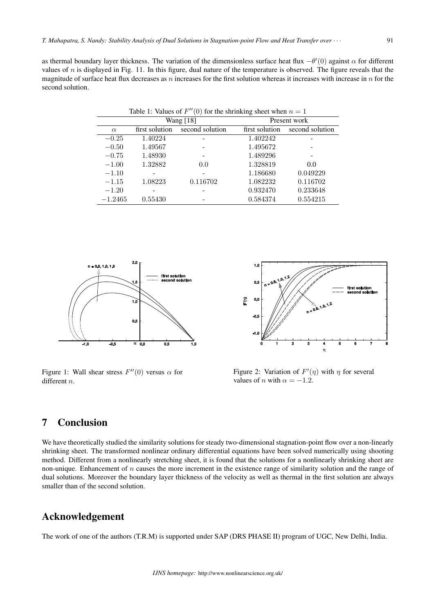as thermal boundary layer thickness. The variation of the dimensionless surface heat flux  $-\theta'(0)$  against α for different values of  $n$  is displayed in Fig. 11. In this figure, dual nature of the temperature is observed. The figure reveals that the magnitude of surface heat flux decreases as  $n$  increases for the first solution whereas it increases with increase in  $n$  for the second solution.

| Table 1: Values of $F''(0)$ for the shrinking sheet when $n = 1$ |                |                 |                |                 |
|------------------------------------------------------------------|----------------|-----------------|----------------|-----------------|
|                                                                  | Wang [18]      |                 | Present work   |                 |
| $\alpha$                                                         | first solution | second solution | first solution | second solution |
| $-0.25$                                                          | 1.40224        |                 | 1.402242       |                 |
| $-0.50$                                                          | 1.49567        |                 | 1.495672       |                 |
| $-0.75$                                                          | 1.48930        |                 | 1.489296       |                 |
| $-1.00$                                                          | 1.32882        | 0.0             | 1.328819       | 0.0             |
| $-1.10$                                                          |                |                 | 1.186680       | 0.049229        |
| $-1.15$                                                          | 1.08223        | 0.116702        | 1.082232       | 0.116702        |
| $-1.20$                                                          |                |                 | 0.932470       | 0.233648        |
| $-1.2465$                                                        | 0.55430        |                 | 0.584374       | 0.554215        |



Figure 1: Wall shear stress  $F''(0)$  versus  $\alpha$  for different  $n$ .



Figure 2: Variation of  $F'(\eta)$  with  $\eta$  for several values of *n* with  $\alpha = -1.2$ .

## 7 Conclusion

We have theoretically studied the similarity solutions for steady two-dimensional stagnation-point flow over a non-linearly shrinking sheet. The transformed nonlinear ordinary differential equations have been solved numerically using shooting method. Different from a nonlinearly stretching sheet, it is found that the solutions for a nonlinearly shrinking sheet are non-unique. Enhancement of  $n$  causes the more increment in the existence range of similarity solution and the range of dual solutions. Moreover the boundary layer thickness of the velocity as well as thermal in the first solution are always smaller than of the second solution.

## Acknowledgement

The work of one of the authors (T.R.M) is supported under SAP (DRS PHASE II) program of UGC, New Delhi, India.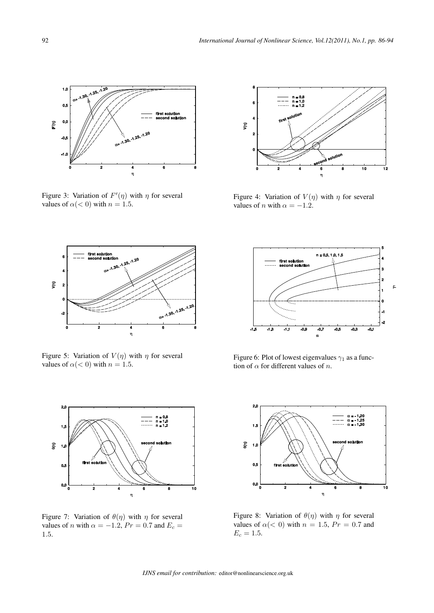

Figure 3: Variation of  $F'(\eta)$  with  $\eta$  for several values of  $\alpha$ (< 0) with  $n = 1.5$ .



Figure 5: Variation of  $V(\eta)$  with  $\eta$  for several values of  $\alpha$ (< 0) with  $n = 1.5$ .



Figure 7: Variation of  $\theta(\eta)$  with  $\eta$  for several values of *n* with  $\alpha = -1.2$ ,  $Pr = 0.7$  and  $E_c =$ 1*.*5.



Figure 4: Variation of  $V(\eta)$  with  $\eta$  for several values of *n* with  $\alpha = -1.2$ .



Figure 6: Plot of lowest eigenvalues  $\gamma_1$  as a function of  $\alpha$  for different values of n.



Figure 8: Variation of  $\theta(\eta)$  with  $\eta$  for several values of  $\alpha$  (< 0) with  $n = 1.5$ ,  $Pr = 0.7$  and  $E_c = 1.5. \,$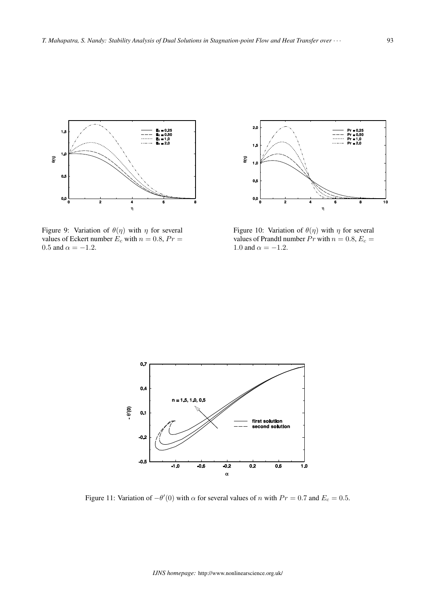

Figure 9: Variation of  $\theta(\eta)$  with  $\eta$  for several values of Eckert number  $E_c$  with  $n = 0.8$ ,  $Pr =$ 0.5 and  $\alpha = -1.2$ .



Figure 10: Variation of  $\theta(\eta)$  with  $\eta$  for several values of Prandtl number  $Pr$  with  $n = 0.8, E_c =$ 1.0 and  $\alpha = -1.2$ .



Figure 11: Variation of  $-\theta'(0)$  with  $\alpha$  for several values of  $n$  with  $Pr = 0.7$  and  $E_c = 0.5$ .